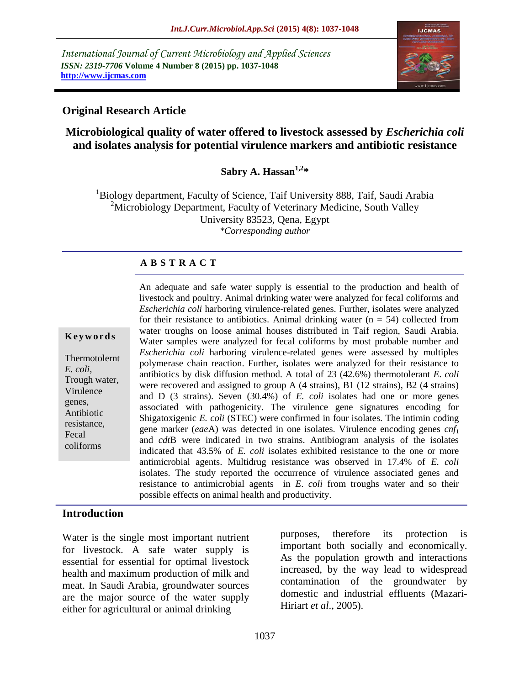*International Journal of Current Microbiology and Applied Sciences ISSN: 2319-7706* **Volume 4 Number 8 (2015) pp. 1037-1048 http://www.ijcmas.com**



### **Original Research Article**

## **Microbiological quality of water offered to livestock assessed by** *Escherichia coli* **and isolates analysis for potential virulence markers and antibiotic resistance**

### **Sabry A. Hassan1,2\***

 $1B$ iology department, Faculty of Science, Taif University 888, Taif, Saudi Arabia <sup>2</sup>Microbiology Department, Faculty of Veterinary Medicine, South Valley University 83523, Qena, Egypt *\*Corresponding author*

#### **A B S T R A C T**

#### **K e y w o r d s**

Thermotolernt *E. coli,* Trough water, Virulence genes, Antibiotic resistance, Fecal coliforms

An adequate and safe water supply is essential to the production and health of livestock and poultry. Animal drinking water were analyzed for fecal coliforms and *Escherichia coli* harboring virulence-related genes. Further, isolates were analyzed for their resistance to antibiotics. Animal drinking water  $(n = 54)$  collected from water troughs on loose animal houses distributed in Taif region, Saudi Arabia. Water samples were analyzed for fecal coliforms by most probable number and *Escherichia coli* harboring virulence-related genes were assessed by multiples polymerase chain reaction. Further, isolates were analyzed for their resistance to antibiotics by disk diffusion method. A total of 23 (42.6%) thermotolerant *E*. *coli* were recovered and assigned to group A (4 strains), B1 (12 strains), B2 (4 strains) and D (3 strains). Seven (30.4%) of *E. coli* isolates had one or more genes associated with pathogenicity. The virulence gene signatures encoding for Shigatoxigenic *E. coli* (STEC) were confirmed in four isolates. The intimin coding gene marker (*eae*A) was detected in one isolates. Virulence encoding genes *cnf*<sup>1</sup> and *cdt*B were indicated in two strains. Antibiogram analysis of the isolates indicated that 43.5% of *E. coli* isolates exhibited resistance to the one or more antimicrobial agents. Multidrug resistance was observed in 17.4% of *E. coli* isolates. The study reported the occurrence of virulence associated genes and resistance to antimicrobial agents in *E*. *coli* from troughs water and so their possible effects on animal health and productivity.

#### **Introduction**

Water is the single most important nutrient for livestock. A safe water supply is essential for essential for optimal livestock health and maximum production of milk and meat. In Saudi Arabia, groundwater sources are the major source of the water supply either for agricultural or animal drinking

purposes, therefore its protection is important both socially and economically. As the population growth and interactions increased, by the way lead to widespread contamination of the groundwater by domestic and industrial effluents (Mazari-Hiriart *et al*., 2005).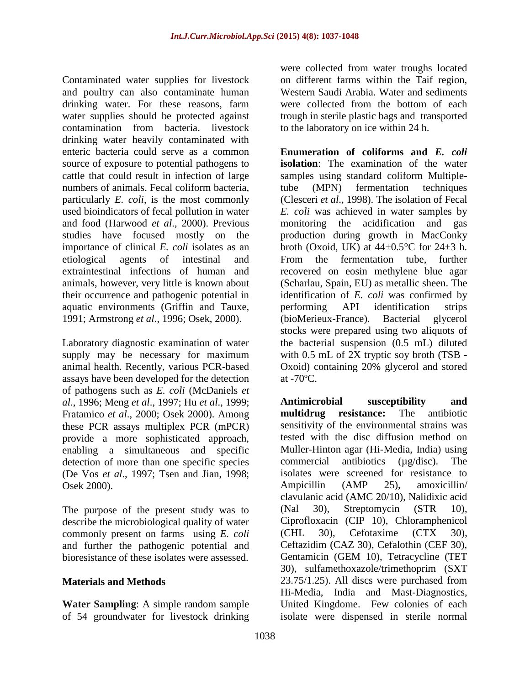Contaminated water supplies for livestock and poultry can also contaminate human drinking water. For these reasons, farm water supplies should be protected against contamination from bacteria. livestock drinking water heavily contaminated with enteric bacteria could serve as a common source of exposure to potential pathogens to cattle that could result in infection of large numbers of animals. Fecal coliform bacteria, particularly *E. coli*, is the most commonly used bioindicators of fecal pollution in water and food (Harwood *et al*., 2000). Previous studies have focused mostly on the importance of clinical *E. coli* isolates as an etiological agents of intestinal and extraintestinal infections of human and animals, however, very little is known about their occurrence and pathogenic potential in aquatic environments (Griffin and Tauxe, 1991; Armstrong *et al*., 1996; Osek, 2000).

Laboratory diagnostic examination of water supply may be necessary for maximum animal health. Recently, various PCR-based assays have been developed for the detection of pathogens such as *E. coli* (McDaniels *et al*., 1996; Meng *et al*., 1997; Hu *et al*., 1999; Fratamico *et al*., 2000; Osek 2000). Among these PCR assays multiplex PCR (mPCR) provide a more sophisticated approach, enabling a simultaneous and specific detection of more than one specific species (De Vos *et al*., 1997; Tsen and Jian, 1998; Osek 2000).

The purpose of the present study was to describe the microbiological quality of water commonly present on farms using *E. coli* and further the pathogenic potential and bioresistance of these isolates were assessed.

### **Materials and Methods**

**Water Sampling**: A simple random sample of 54 groundwater for livestock drinking were collected from water troughs located on different farms within the Taif region, Western Saudi Arabia. Water and sediments were collected from the bottom of each trough in sterile plastic bags and transported to the laboratory on ice within 24 h.

**Enumeration of coliforms and** *E. coli* **isolation**: The examination of the water samples using standard coliform Multipletube (MPN) fermentation techniques (Clesceri *et al*., 1998). The isolation of Fecal *E. coli* was achieved in water samples by monitoring the acidification and gas production during growth in MacConky broth (Oxoid, UK) at  $44\pm0.5^{\circ}$ C for  $24\pm3$  h. From the fermentation tube, further recovered on eosin methylene blue agar (Scharlau, Spain, EU) as metallic sheen. The identification of *E. coli* was confirmed by performing API identification strips (bioMerieux-France). Bacterial glycerol stocks were prepared using two aliquots of the bacterial suspension (0.5 mL) diluted with  $0.5$  mL of 2X tryptic soy broth (TSB -Oxoid) containing 20% glycerol and stored at -70ºC.

**Antimicrobial susceptibility and multidrug resistance:** The antibiotic sensitivity of the environmental strains was tested with the disc diffusion method on Muller-Hinton agar (Hi-Media, India) using commercial antibiotics (µg/disc). The isolates were screened for resistance to Ampicillin (AMP 25), amoxicillin/ clavulanic acid (AMC 20/10), Nalidixic acid (Nal 30), Streptomycin (STR 10), Ciprofloxacin (CIP 10), Chloramphenicol (CHL 30), Cefotaxime (CTX 30), Ceftazidim (CAZ 30), Cefalothin (CEF 30), Gentamicin (GEM 10), Tetracycline (TET 30), sulfamethoxazole/trimethoprim (SXT 23.75/1.25). All discs were purchased from Hi-Media, India and Mast-Diagnostics, United Kingdome. Few colonies of each isolate were dispensed in sterile normal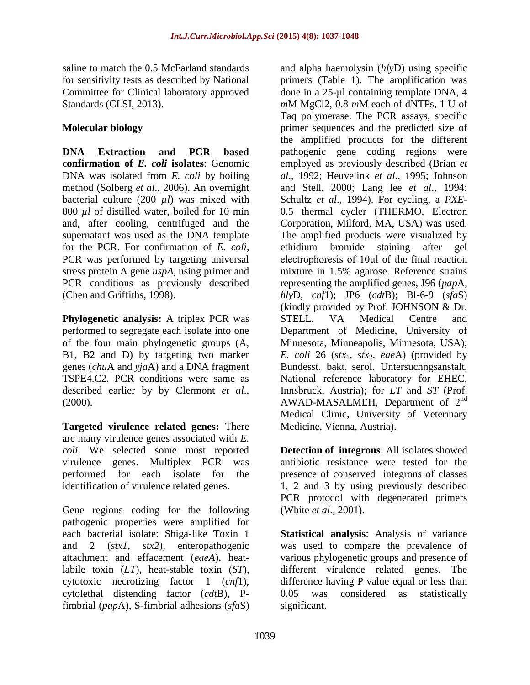saline to match the 0.5 McFarland standards for sensitivity tests as described by National Committee for Clinical laboratory approved Standards (CLSI, 2013).

## **Molecular biology**

**DNA Extraction and PCR based confirmation of** *E. coli* **isolates**: Genomic DNA was isolated from *E. coli* by boiling method (Solberg *et al*., 2006). An overnight bacterial culture (200 *µl*) was mixed with 800 *µl* of distilled water, boiled for 10 min and, after cooling, centrifuged and the supernatant was used as the DNA template for the PCR. For confirmation of *E. coli*, PCR was performed by targeting universal stress protein A gene *uspA*, using primer and PCR conditions as previously described (Chen and Griffiths, 1998).

**Phylogenetic analysis:** A triplex PCR was performed to segregate each isolate into one of the four main phylogenetic groups (A, B1, B2 and D) by targeting two marker genes (*chu*A and *yja*A) and a DNA fragment TSPE4.C2. PCR conditions were same as described earlier by by Clermont *et al*., (2000).

**Targeted virulence related genes:** There are many virulence genes associated with *E. coli*. We selected some most reported virulence genes. Multiplex PCR was performed for each isolate for the identification of virulence related genes.

Gene regions coding for the following pathogenic properties were amplified for each bacterial isolate: Shiga-like Toxin 1 and 2 (*stx1*, *stx2*), enteropathogenic attachment and effacement (*eaeA*), heatlabile toxin (*LT*), heat-stable toxin (*ST*), cytotoxic necrotizing factor 1 (*cnf*1), cytolethal distending factor (*cdt*B), Pfimbrial (*pap*A), S-fimbrial adhesions (*sfa*S)

and alpha haemolysin (*hly*D) using specific primers (Table 1). The amplification was done in a 25-µl containing template DNA, 4 *m*M MgCl2, 0.8 *m*M each of dNTPs, 1 U of Taq polymerase. The PCR assays, specific primer sequences and the predicted size of the amplified products for the different pathogenic gene coding regions were employed as previously described (Brian *et al*., 1992; Heuvelink *et al*., 1995; Johnson and Stell, 2000; Lang lee *et al*., 1994; Schultz *et al*., 1994). For cycling, a *PXE*-0.5 thermal cycler (THERMO, Electron Corporation, Milford, MA, USA) was used. The amplified products were visualized by ethidium bromide staining after gel electrophoresis of 10μl of the final reaction mixture in 1.5% agarose. Reference strains representing the amplified genes, J96 (*pap*A*, hly*D*, cnf*1); JP6 (*cdt*B); Bl-6-9 (*sfa*S) (kindly provided by Prof. JOHNSON & Dr. STELL, VA Medical Centre and Department of Medicine, University of Minnesota, Minneapolis, Minnesota, USA); *E. coli* 26 (*stx*1, *stx*2, *eae*A) (provided by Bundesst. bakt. serol. Untersuchngsanstalt, National reference laboratory for EHEC, Innsbruck, Austria); for *LT* and *ST* (Prof. AWAD-MASALMEH, Department of  $2<sup>nd</sup>$ Medical Clinic, University of Veterinary Medicine, Vienna, Austria).

**Detection of integrons**: All isolates showed antibiotic resistance were tested for the presence of conserved integrons of classes 1, 2 and 3 by using previously described PCR protocol with degenerated primers (White *et al*., 2001).

**Statistical analysis**: Analysis of variance was used to compare the prevalence of various phylogenetic groups and presence of different virulence related genes. The difference having P value equal or less than 0.05 was considered as statistically significant.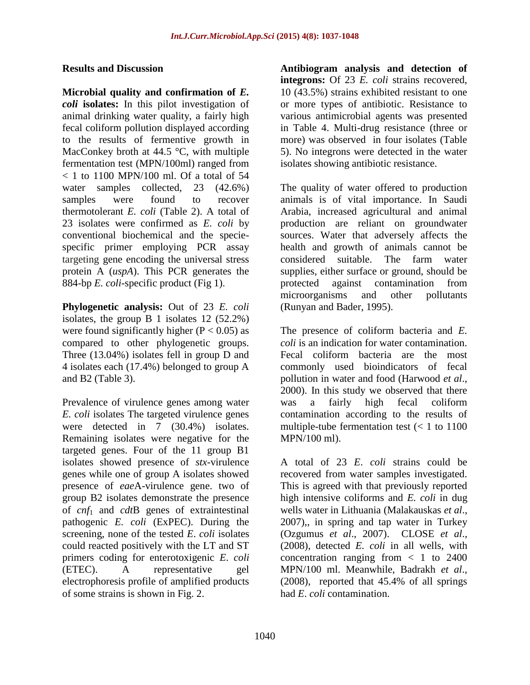#### **Results and Discussion**

**Microbial quality and confirmation of** *E. coli* **isolates:** In this pilot investigation of animal drinking water quality, a fairly high fecal coliform pollution displayed according to the results of fermentive growth in MacConkey broth at  $44.5 \degree C$ , with multiple fermentation test (MPN/100ml) ranged from < 1 to 1100 MPN/100 ml. Of a total of 54 water samples collected, 23 (42.6%) samples were found to recover thermotolerant *E. coli* (Table 2). A total of 23 isolates were confirmed as *E. coli* by conventional biochemical and the speciespecific primer employing PCR assay targeting gene encoding the universal stress protein A (*uspA*). This PCR generates the 884-bp *E. coli*-specific product (Fig 1).

**Phylogenetic analysis:** Out of 23 *E. coli* isolates, the group B 1 isolates 12 (52.2%) were found significantly higher ( $P < 0.05$ ) as compared to other phylogenetic groups. Three (13.04%) isolates fell in group D and 4 isolates each (17.4%) belonged to group A and B2 (Table 3).

Prevalence of virulence genes among water *E. coli* isolates The targeted virulence genes were detected in 7 (30.4%) isolates. Remaining isolates were negative for the targeted genes. Four of the 11 group B1 isolates showed presence of *stx*-virulence genes while one of group A isolates showed presence of *eae*A-virulence gene. two of group B2 isolates demonstrate the presence of *cnf*<sup>1</sup> and *cdt*B genes of extraintestinal pathogenic *E. coli* (ExPEC). During the screening, none of the tested *E*. *coli* isolates could reacted positively with the LT and ST primers coding for enterotoxigenic *E*. *coli* (ETEC). A representative gel electrophoresis profile of amplified products of some strains is shown in Fig. 2.

**Antibiogram analysis and detection of integrons:** Of 23 *E. coli* strains recovered, 10 (43.5%) strains exhibited resistant to one or more types of antibiotic. Resistance to various antimicrobial agents was presented in Table 4. Multi-drug resistance (three or more) was observed in four isolates (Table 5). No integrons were detected in the water isolates showing antibiotic resistance.

The quality of water offered to production animals is of vital importance. In Saudi Arabia, increased agricultural and animal production are reliant on groundwater sources. Water that adversely affects the health and growth of animals cannot be considered suitable. The farm water supplies, either surface or ground, should be protected against contamination from microorganisms and other pollutants (Runyan and Bader, 1995).

The presence of coliform bacteria and *E. coli* is an indication for water contamination. Fecal coliform bacteria are the most commonly used bioindicators of fecal pollution in water and food (Harwood *et al*., 2000). In this study we observed that there was a fairly high fecal coliform contamination according to the results of multiple-tube fermentation test  $(< 1$  to 1100 MPN/100 ml).

A total of 23 *E*. *coli* strains could be recovered from water samples investigated. This is agreed with that previously reported high intensive coliforms and *E. coli* in dug wells water in Lithuania (Malakauskas *et al*., 2007),, in spring and tap water in Turkey (Ozgumus *et al*., 2007). CLOSE *et al*., (2008), detected *E. coli* in all wells, with concentration ranging from  $\langle 1 \rangle$  to 2400 MPN/100 ml. Meanwhile, Badrakh *et al*., (2008), reported that 45.4% of all springs had *E*. *coli* contamination.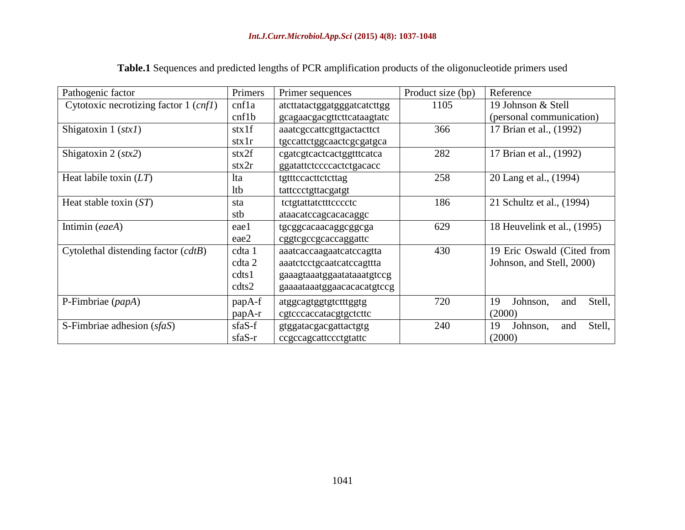| Pathogenic factor                     | Primers                                                                   | Primer sequences            | Product size (bp)<br>Reference     |                                 |  |
|---------------------------------------|---------------------------------------------------------------------------|-----------------------------|------------------------------------|---------------------------------|--|
| Cytotoxic necrotizing factor 1 (cnf1) | cnf1a                                                                     | atcttatactggatgggatcatcttgg | 19 Johnson & Stell<br>1105         |                                 |  |
|                                       | cnf1b                                                                     | gcagaacgacgttcttcataagtatc  |                                    | (personal communication)        |  |
| Shigatoxin $1 (stx1)$                 | $\text{stx}1f$                                                            | aaatcgccattcgttgactacttct   | 366<br>17 Brian et al., (1992)     |                                 |  |
|                                       | $\text{stx1r}$                                                            | tgccattctggcaactcgcgatgca   |                                    |                                 |  |
| Shigatoxin 2 $(stx2)$                 | stx2f                                                                     | cgategtcactcactggtttcatca   | 282                                | 17 Brian et al., (1992)         |  |
|                                       | stx2r                                                                     | ggatattctccccactctgacacc    |                                    |                                 |  |
| Heat labile toxin $(LT)$              | lta                                                                       | tgtttccacttctcttag          | 258                                | 20 Lang et al., (1994)          |  |
|                                       | ltb                                                                       | tattccctgttacgatgt          |                                    |                                 |  |
| Heat stable toxin $(ST)$              | sta                                                                       | tetgtattatettteeeete        | 186                                | 21 Schultz et al., (1994)       |  |
|                                       | stb                                                                       | ataacatccagcacacaggc        |                                    |                                 |  |
| Intimin (eaeA)                        | eael                                                                      | tgcggcacaacaggcggcga        | 629<br>18 Heuvelink et al., (1995) |                                 |  |
|                                       | eae2                                                                      | cggtcgccgcaccaggattc        |                                    |                                 |  |
| Cytolethal distending factor (cdtB)   | cdta 1                                                                    | aaatcaccaagaatcatccagtta    | 430<br>19 Eric Oswald (Cited from  |                                 |  |
|                                       | cdta 2                                                                    | aaatctcctgcaatcatccagttta   |                                    | Johnson, and Stell, 2000)       |  |
|                                       | cdts1                                                                     | gaaagtaaatggaatataaatgtccg  |                                    |                                 |  |
|                                       | cdts2                                                                     | gaaaataaatggaacacacatgtccg  |                                    |                                 |  |
| P-Fimbriae (papA)                     | papA-f                                                                    | atggcagtggtgtctttggtg       | 720                                | Stell,<br>19<br>Johnson,<br>and |  |
|                                       | papA-r                                                                    | cgtcccaccatacgtgctcttc      |                                    | (2000)                          |  |
| S-Fimbriae adhesion $(sfaS)$          | 240<br>sfaS-f<br>gtggatacgacgattactgtg<br>sfaS-r<br>ccgccagcattccctgtattc |                             |                                    | Stell,<br>19<br>Johnson,<br>and |  |
|                                       |                                                                           |                             |                                    | (2000)                          |  |

**Table.1** Sequences and predicted lengths of PCR amplification products of the oligonucleotide primers used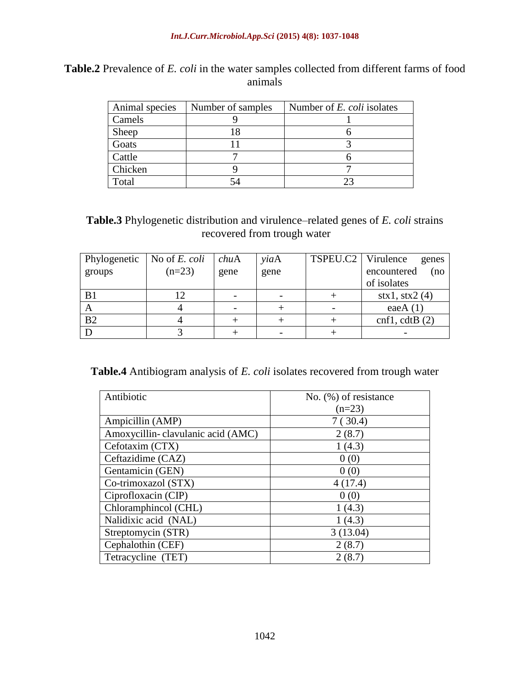| Animal species | Number of samples | Number of E. coli isolates |
|----------------|-------------------|----------------------------|
| Camels         |                   |                            |
| Sheep          |                   |                            |
| Goats          |                   |                            |
| Cattle         |                   |                            |
| Chicken        |                   |                            |
| Total          |                   |                            |

# **Table.2** Prevalence of *E. coli* in the water samples collected from different farms of food animals

**Table.3** Phylogenetic distribution and virulence–related genes of *E. coli* strains recovered from trough water

| Phylogenetic   | No of E. coli | chuA | yiaA | TSPEU.C2   Virulence | genes                          |
|----------------|---------------|------|------|----------------------|--------------------------------|
| groups         | $(n=23)$      | gene | gene |                      | encountered<br>(no             |
|                |               |      |      |                      | of isolates                    |
| B1             |               |      |      |                      | $\text{stx1}, \text{stx2}$ (4) |
| A              |               |      |      |                      | eae $A(1)$                     |
| B <sub>2</sub> |               |      |      |                      | cnf1, cdtB(2)                  |
|                |               |      |      |                      |                                |

**Table.4** Antibiogram analysis of *E. coli* isolates recovered from trough water

| Antibiotic                        | No. $(\%)$ of resistance |
|-----------------------------------|--------------------------|
|                                   | $(n=23)$                 |
| Ampicillin (AMP)                  | 7(30.4)                  |
| Amoxycillin-clavulanic acid (AMC) | 2(8.7)                   |
| Cefotaxim (CTX)                   | 1(4.3)                   |
| Ceftazidime (CAZ)                 | 0(0)                     |
| Gentamicin (GEN)                  | 0(0)                     |
| Co-trimoxazol (STX)               | 4(17.4)                  |
| Ciprofloxacin (CIP)               | 0(0)                     |
| Chloramphincol (CHL)              | 1(4.3)                   |
| Nalidixic acid (NAL)              | 1(4.3)                   |
| Streptomycin (STR)                | 3(13.04)                 |
| Cephalothin (CEF)                 | 2(8.7)                   |
| Tetracycline (TET)                | 2(8.7)                   |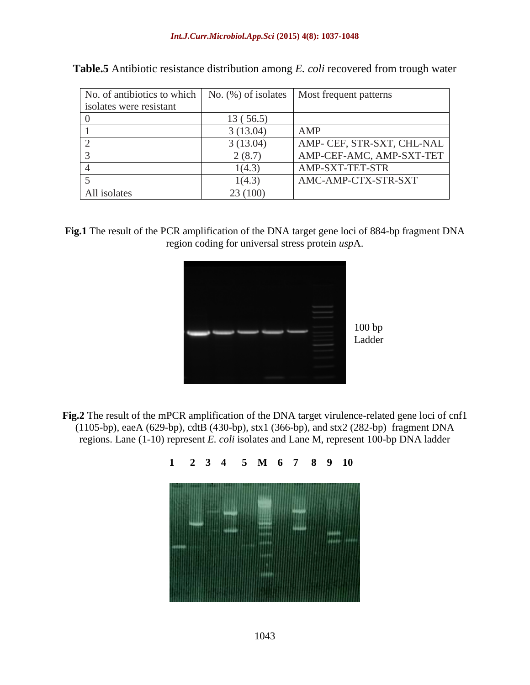| No. of antibiotics to which | No. $(\%)$ of isolates | Most frequent patterns     |
|-----------------------------|------------------------|----------------------------|
| isolates were resistant     |                        |                            |
|                             | 13(56.5)               |                            |
|                             | 3(13.04)               | AMP                        |
|                             | 3(13.04)               | AMP- CEF, STR-SXT, CHL-NAL |
|                             | 2(8.7)                 | AMP-CEF-AMC, AMP-SXT-TET   |
|                             | 1(4.3)                 | AMP-SXT-TET-STR            |
|                             | 1(4.3)                 | AMC-AMP-CTX-STR-SXT        |
| All isolates                | 23 (100)               |                            |

|  |  |  | <b>Table.5</b> Antibiotic resistance distribution among <i>E. coli</i> recovered from trough water |
|--|--|--|----------------------------------------------------------------------------------------------------|
|  |  |  |                                                                                                    |

**Fig.1** The result of the PCR amplification of the DNA target gene loci of 884-bp fragment DNA region coding for universal stress protein *usp*A.



**Fig.2** The result of the mPCR amplification of the DNA target virulence-related gene loci of cnf1 (1105-bp), eaeA (629-bp), cdtB (430-bp), stx1 (366-bp), and stx2 (282-bp) fragment DNA regions. Lane (1-10) represent *E. coli* isolates and Lane M, represent 100-bp DNA ladder

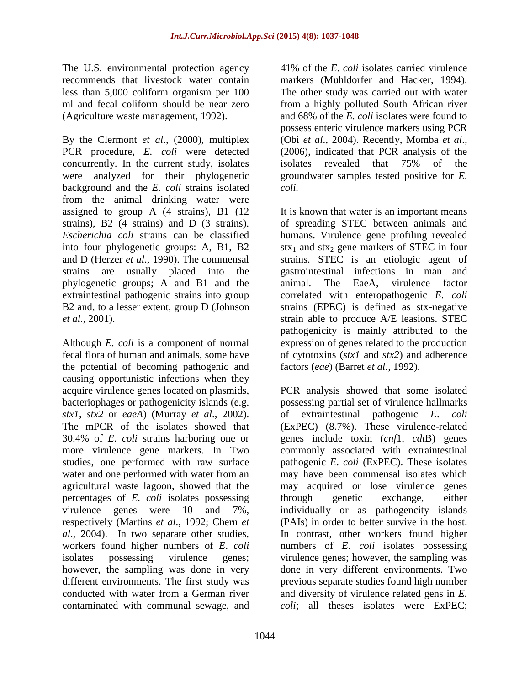The U.S. environmental protection agency recommends that livestock water contain less than 5,000 coliform organism per 100 ml and fecal coliform should be near zero (Agriculture waste management, 1992).

By the Clermont *et al*., (2000), multiplex PCR procedure, *E. coli* were detected concurrently. In the current study, isolates were analyzed for their phylogenetic background and the *E. coli* strains isolated from the animal drinking water were assigned to group A (4 strains), B1 (12 strains), B2 (4 strains) and D (3 strains). *Escherichia coli* strains can be classified into four phylogenetic groups: A, B1, B2 and D (Herzer *et al*., 1990). The commensal strains are usually placed into the phylogenetic groups; A and B1 and the extraintestinal pathogenic strains into group B2 and, to a lesser extent, group D (Johnson *et al.*, 2001).

Although *E. coli* is a component of normal fecal flora of human and animals, some have the potential of becoming pathogenic and causing opportunistic infections when they acquire virulence genes located on plasmids, bacteriophages or pathogenicity islands (e.g. *stx1*, *stx2* or *eaeA*) (Murray *et al*., 2002). The mPCR of the isolates showed that 30.4% of *E. coli* strains harboring one or more virulence gene markers. In Two studies, one performed with raw surface water and one performed with water from an agricultural waste lagoon, showed that the percentages of *E. coli* isolates possessing virulence genes were 10 and 7%, respectively (Martins *et al*., 1992; Chern *et al*., 2004). In two separate other studies, workers found higher numbers of *E*. *coli*  isolates possessing virulence genes; however, the sampling was done in very different environments. The first study was conducted with water from a German river contaminated with communal sewage, and

41% of the *E*. *coli* isolates carried virulence markers (Muhldorfer and Hacker, 1994). The other study was carried out with water from a highly polluted South African river and 68% of the *E. coli* isolates were found to possess enteric virulence markers using PCR (Obi *et al*., 2004). Recently, Momba *et al*., (2006), indicated that PCR analysis of the isolates revealed that 75% of the groundwater samples tested positive for *E. coli.*

It is known that water is an important means of spreading STEC between animals and humans. Virulence gene profiling revealed  $\text{stx}_1$  and  $\text{stx}_2$  gene markers of STEC in four strains. STEC is an etiologic agent of gastrointestinal infections in man and animal. The EaeA, virulence factor correlated with enteropathogenic *E*. *coli* strains (EPEC) is defined as stx-negative strain able to produce A/E leasions. STEC pathogenicity is mainly attributed to the expression of genes related to the production of cytotoxins (*stx1* and *stx2*) and adherence factors (*eae*) (Barret *et al.,* 1992).

PCR analysis showed that some isolated possessing partial set of virulence hallmarks of extraintestinal pathogenic *E*. *coli* (ExPEC) (8.7%). These virulence-related genes include toxin (*cnf*1, *cdt*B) genes commonly associated with extraintestinal pathogenic *E*. *coli* (ExPEC). These isolates may have been commensal isolates which may acquired or lose virulence genes through genetic exchange, either individually or as pathogencity islands (PAIs) in order to better survive in the host. In contrast, other workers found higher numbers of *E*. *coli* isolates possessing virulence genes; however, the sampling was done in very different environments. Two previous separate studies found high number and diversity of virulence related gens in *E. coli*; all theses isolates were ExPEC;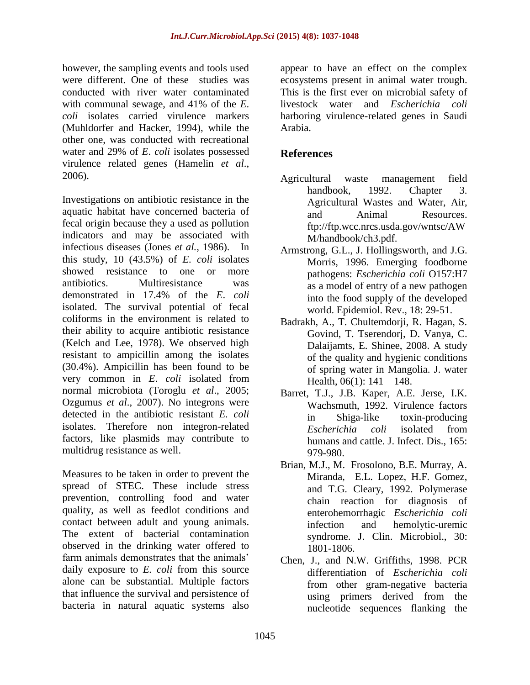however, the sampling events and tools used were different. One of these studies was conducted with river water contaminated with communal sewage, and 41% of the *E*. *coli* isolates carried virulence markers (Muhldorfer and Hacker, 1994), while the other one, was conducted with recreational water and 29% of *E*. *coli* isolates possessed virulence related genes (Hamelin *et al*., 2006).

Investigations on antibiotic resistance in the aquatic habitat have concerned bacteria of fecal origin because they a used as pollution indicators and may be associated with infectious diseases (Jones *et al.,* 1986). In this study, 10 (43.5%) of *E. coli* isolates showed resistance to one or more antibiotics. Multiresistance was demonstrated in 17.4% of the *E*. *coli* isolated. The survival potential of fecal coliforms in the environment is related to their ability to acquire antibiotic resistance (Kelch and Lee, 1978). We observed high resistant to ampicillin among the isolates (30.4%). Ampicillin has been found to be very common in *E*. *coli* isolated from normal microbiota (Toroglu *et al*., 2005; Ozgumus *et al*., 2007). No integrons were detected in the antibiotic resistant *E. coli* isolates. Therefore non integron-related factors, like plasmids may contribute to multidrug resistance as well.

Measures to be taken in order to prevent the spread of STEC. These include stress prevention, controlling food and water quality, as well as feedlot conditions and contact between adult and young animals. The extent of bacterial contamination observed in the drinking water offered to farm animals demonstrates that the animals' daily exposure to *E. coli* from this source alone can be substantial. Multiple factors that influence the survival and persistence of bacteria in natural aquatic systems also

appear to have an effect on the complex ecosystems present in animal water trough. This is the first ever on microbial safety of livestock water and *Escherichia coli* harboring virulence-related genes in Saudi Arabia.

## **References**

- [Agricultural waste management field](https://www.google.com.sa/url?sa=t&rct=j&q=&esrc=s&source=web&cd=2&cad=rja&uact=8&ved=0CCwQFjABahUKEwjtuLibqtjGAhWLbxQKHUTNBxw&url=http%3A%2F%2Fwww.nrcs.usda.gov%2Fwps%2Fportal%2Fnrcs%2Fdetailfull%2Fnational%2Flanduse%2Fcrops%2Fnpm%2F%3Fcid%3Dstelprdb1045935&ei=x8yjVa25GovfUcSan-AB&usg=AFQjCNF0Ea-7YlINpUAgW7VfE2i38CKszg)  [handbook,](https://www.google.com.sa/url?sa=t&rct=j&q=&esrc=s&source=web&cd=2&cad=rja&uact=8&ved=0CCwQFjABahUKEwjtuLibqtjGAhWLbxQKHUTNBxw&url=http%3A%2F%2Fwww.nrcs.usda.gov%2Fwps%2Fportal%2Fnrcs%2Fdetailfull%2Fnational%2Flanduse%2Fcrops%2Fnpm%2F%3Fcid%3Dstelprdb1045935&ei=x8yjVa25GovfUcSan-AB&usg=AFQjCNF0Ea-7YlINpUAgW7VfE2i38CKszg) 1992. Chapter 3. Agricultural Wastes and Water, Air, and Animal Resources. [ftp://ftp.wcc.nrcs.usda.gov/wntsc/AW](ftp://ftp.wcc.nrcs.usda.gov/wntsc/AWM/handbook/ch3.pdf) [M/handbook/ch3.pdf.](ftp://ftp.wcc.nrcs.usda.gov/wntsc/AWM/handbook/ch3.pdf)
- Armstrong, G.L., J. Hollingsworth, and J.G. Morris, 1996. Emerging foodborne pathogens: *Escherichia coli* O157:H7 as a model of entry of a new pathogen into the food supply of the developed world. Epidemiol. Rev., 18: 29-51.
- Badrakh, A., T. Chultemdorji, R. Hagan, S. Govind, T. Tserendorj, D. Vanya, C. Dalaijamts, E. Shinee, 2008. A study of the quality and hygienic conditions of spring water in Mangolia. J. water Health,  $06(1)$ :  $141 - 148$ .
- Barret, T.J., J.B. Kaper, A.E. Jerse, I.K. Wachsmuth, 1992. Virulence factors in Shiga-like toxin-producing *Escherichia coli* isolated from humans and cattle. J. Infect. Dis., 165: 979-980.
- Brian, M.J., M. Frosolono, B.E. Murray, A. Miranda, E.L. Lopez, H.F. Gomez, and T.G. Cleary, 1992. Polymerase chain reaction for diagnosis of enterohemorrhagic *Escherichia coli* infection and hemolytic-uremic syndrome. J. Clin. Microbiol., 30: 1801-1806.
- Chen, J., and N.W. Griffiths, 1998. PCR differentiation of *Escherichia coli*  from other gram-negative bacteria using primers derived from the nucleotide sequences flanking the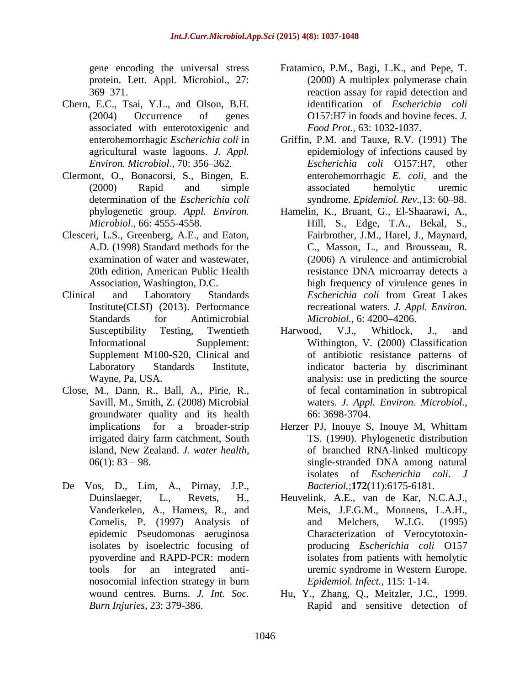gene encoding the universal stress protein. Lett. Appl. Microbiol., 27: 369–371.

- Chern, E.C., Tsai, Y.L., and Olson, B.H. (2004) Occurrence of genes associated with enterotoxigenic and enterohemorrhagic *Escherichia coli* in agricultural waste lagoons. *J. Appl. Environ. Microbiol*., 70: 356–362.
- Clermont, O., Bonacorsi, S., Bingen, E. (2000) Rapid and simple determination of the *Escherichia coli* phylogenetic group. *Appl. Environ. Microbiol*., 66: 4555-4558.
- Clesceri, L.S., Greenberg, A.E., and Eaton, A.D. (1998) Standard methods for the examination of water and wastewater, 20th edition, American Public Health Association, Washington, D.C.
- Clinical and Laboratory Standards Institute(CLSI) (2013). Performance Standards for Antimicrobial Susceptibility Testing, Twentieth Informational Supplement: Supplement M100-S20, Clinical and Laboratory Standards Institute, Wayne, Pa, USA.
- Close, M., Dann, R., Ball, A., Pirie, R., Savill, M., Smith, Z. (2008) Microbial groundwater quality and its health implications for a broader-strip irrigated dairy farm catchment, South island, New Zealand. *J. water health*,  $06(1)$ : 83 – 98.
- De Vos, D., Lim, A., Pirnay, J.P., Duinslaeger, L., Revets, H., Vanderkelen, A., Hamers, R., and Cornelis, P. (1997) [Analysis of](http://www.biomedexperts.com/Abstract.bme/9426906/Analysis_of_epidemic_Pseudomonas_aeruginosa_isolates_by_isoelectric_focusing_of_pyoverdine_and_RAPD-PCR_modern_tools_fo)  [epidemic Pseudomonas aeruginosa](http://www.biomedexperts.com/Abstract.bme/9426906/Analysis_of_epidemic_Pseudomonas_aeruginosa_isolates_by_isoelectric_focusing_of_pyoverdine_and_RAPD-PCR_modern_tools_fo)  [isolates by isoelectric focusing of](http://www.biomedexperts.com/Abstract.bme/9426906/Analysis_of_epidemic_Pseudomonas_aeruginosa_isolates_by_isoelectric_focusing_of_pyoverdine_and_RAPD-PCR_modern_tools_fo)  [pyoverdine and RAPD-PCR: modern](http://www.biomedexperts.com/Abstract.bme/9426906/Analysis_of_epidemic_Pseudomonas_aeruginosa_isolates_by_isoelectric_focusing_of_pyoverdine_and_RAPD-PCR_modern_tools_fo)  [tools for an integrated anti](http://www.biomedexperts.com/Abstract.bme/9426906/Analysis_of_epidemic_Pseudomonas_aeruginosa_isolates_by_isoelectric_focusing_of_pyoverdine_and_RAPD-PCR_modern_tools_fo)[nosocomial infection strategy in burn](http://www.biomedexperts.com/Abstract.bme/9426906/Analysis_of_epidemic_Pseudomonas_aeruginosa_isolates_by_isoelectric_focusing_of_pyoverdine_and_RAPD-PCR_modern_tools_fo)  [wound centres.](http://www.biomedexperts.com/Abstract.bme/9426906/Analysis_of_epidemic_Pseudomonas_aeruginosa_isolates_by_isoelectric_focusing_of_pyoverdine_and_RAPD-PCR_modern_tools_fo) Burns. *J. Int. Soc. Burn Injuries,* 23: 379-386.
- Fratamico, P.M., Bagi, L.K., and Pepe, T. (2000) A multiplex polymerase chain reaction assay for rapid detection and identification of *Escherichia coli* O157:H7 in foods and bovine feces. *J. Food Prot.,* 63: 1032-1037.
- Griffin, P.M. and Tauxe, R.V. (1991) The epidemiology of infections caused by *Escherichia coli* O157:H7, other enterohemorrhagic *E. coli*, and the associated hemolytic uremic syndrome. *Epidemiol. Rev*.,13: 60–98.
- Hamelin, K., Bruant, G., El-Shaarawi, A., Hill, S., Edge, T.A., Bekal, S., Fairbrother, J.M., Harel, J., Maynard, C., Masson, L., and Brousseau, R. (2006) A virulence and antimicrobial resistance DNA microarray detects a high frequency of virulence genes in *Escherichia coli* from Great Lakes recreational waters. *J. Appl. Environ. Microbiol.,* 6: 4200–4206.
- Harwood, V.J., Whitlock, J., and Withington, V. (2000) Classification of antibiotic resistance patterns of indicator bacteria by discriminant analysis: use in predicting the source of fecal contamination in subtropical waters. *J. Appl. Environ. Microbiol.,* 66: 3698-3704.
- Herzer PJ, Inouye S, Inouye M, Whittam TS. (1990). Phylogenetic distribution of branched RNA-linked multicopy single-stranded DNA among natural isolates of *Escherichia coli*. *J Bacteriol.*;**172**(11):6175-6181.
- Heuvelink, A.E., van de Kar, N.C.A.J., Meis, J.F.G.M., Monnens, L.A.H., and Melchers, W.J.G. (1995) Characterization of Verocytotoxinproducing *Escherichia coli* O157 isolates from patients with hemolytic uremic syndrome in Western Europe. *Epidemiol. Infect.,* 115: 1-14.
- Hu, Y., Zhang, Q., Meitzler, J.C., 1999. Rapid and sensitive detection of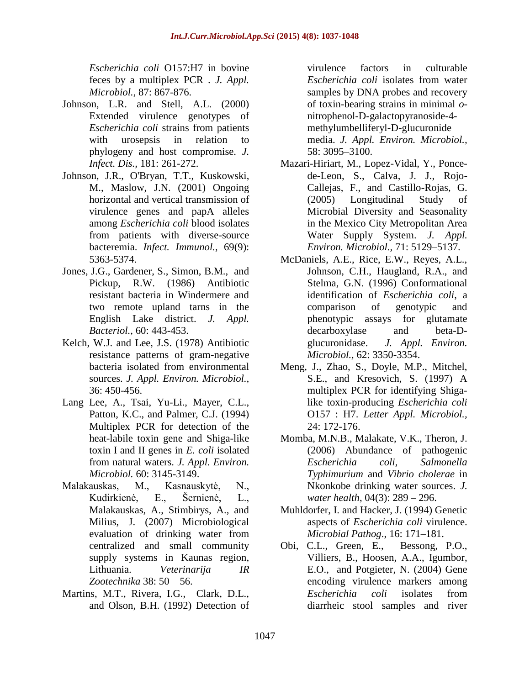*Escherichia coli* O157:H7 in bovine feces by a multiplex PCR . *J. Appl. Microbiol.,* 87: 867-876.

- Johnson, L.R. and Stell, A.L. (2000) Extended virulence genotypes of *Escherichia coli* strains from patients with urosepsis in relation to phylogeny and host compromise. *J. Infect. Dis.,* 181: 261-272.
- Johnson, J.R., O'Bryan, T.T., Kuskowski, M., Maslow, J.N. (2001) Ongoing horizontal and vertical transmission of virulence genes and papA alleles among *Escherichia coli* blood isolates from patients with diverse-source bacteremia. *Infect. Immunol.,* 69(9): 5363-5374.
- Jones, J.G., Gardener, S., Simon, B.M., and Pickup, R.W. (1986) Antibiotic resistant bacteria in Windermere and two remote upland tarns in the English Lake district. *J. Appl. Bacteriol.,* 60: 443-453.
- Kelch, W.J. and Lee, J.S. (1978) Antibiotic resistance patterns of gram-negative bacteria isolated from environmental sources. *J. Appl. Environ. Microbiol.,* 36: 450-456.
- Lang Lee, A., Tsai, Yu-Li., Mayer, C.L., Patton, K.C., and Palmer, C.J. (1994) Multiplex PCR for detection of the heat-labile toxin gene and Shiga-like toxin I and II genes in *E. coli* isolated from natural waters. *J. Appl. Environ. Microbiol.* 60: 3145-3149.
- Malakauskas, M., Kasnauskytė, N., Kudirkienė, E., Šernienė, L., Malakauskas, A., Stimbirys, A., and Milius, J. (2007) Microbiological evaluation of drinking water from centralized and small community supply systems in Kaunas region, Lithuania. *Veterinarija IR Zootechnika* 38: 50 – 56.
- Martins, M.T., Rivera, I.G., Clark, D.L., and Olson, B.H. (1992) Detection of

virulence factors in culturable *Escherichia coli* isolates from water samples by DNA probes and recovery of toxin-bearing strains in minimal *o*nitrophenol-D-galactopyranoside-4 methylumbelliferyl-D-glucuronide media. *J. Appl. Environ. Microbiol.,* 58: 3095–3100.

- Mazari-Hiriart, M., Lopez-Vidal, Y., Poncede-Leon, S., Calva, J. J., Rojo-Callejas, F., and Castillo-Rojas, G. (2005) Longitudinal Study of Microbial Diversity and Seasonality in the Mexico City Metropolitan Area Water Supply System. *J. Appl. Environ. Microbiol.,* 71: 5129–5137.
- McDaniels, A.E., Rice, E.W., Reyes, A.L., Johnson, C.H., Haugland, R.A., and Stelma, G.N. (1996) Conformational identification of *Escherichia coli*, a comparison of genotypic and phenotypic assays for glutamate decarboxylase and beta-Dglucuronidase. *J. Appl. Environ. Microbiol.,* 62: 3350-3354.
- Meng, J., Zhao, S., Doyle, M.P., Mitchel, S.E., and Kresovich, S. (1997) A multiplex PCR for identifying Shigalike toxin-producing *Escherichia coli* O157 : H7. *Letter Appl. Microbiol.,* 24: 172-176.
- Momba, M.N.B., Malakate, V.K., Theron, J. (2006) Abundance of pathogenic *Escherichia coli, Salmonella Typhimurium* and *Vibrio cholerae* in Nkonkobe drinking water sources. *J. water health*, 04(3): 289 – 296.
- Muhldorfer, I. and Hacker, J. (1994) Genetic aspects of *Escherichia coli* virulence. *Microbial Pathog*., 16: 171–181.
- Obi, C.L., Green, E., Bessong, P.O., Villiers, B., Hoosen, A.A., Igumbor, E.O., and Potgieter, N. (2004) Gene encoding virulence markers among *Escherichia coli* isolates from diarrheic stool samples and river